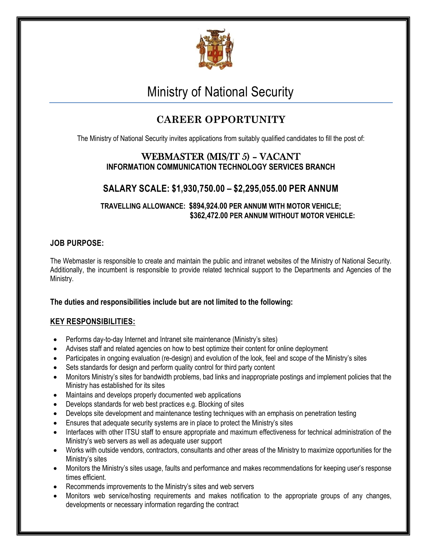

# Ministry of National Security

# **CAREER OPPORTUNITY**

The Ministry of National Security invites applications from suitably qualified candidates to fill the post of:

# WEBMASTER (MIS/IT 5) – VACANT **INFORMATION COMMUNICATION TECHNOLOGY SERVICES BRANCH**

# **SALARY SCALE: \$1,930,750.00 – \$2,295,055.00 PER ANNUM**

**TRAVELLING ALLOWANCE: \$894,924.00 PER ANNUM WITH MOTOR VEHICLE; \$362,472.00 PER ANNUM WITHOUT MOTOR VEHICLE:**

## **JOB PURPOSE:**

The Webmaster is responsible to create and maintain the public and intranet websites of the Ministry of National Security. Additionally, the incumbent is responsible to provide related technical support to the Departments and Agencies of the Ministry.

## **The duties and responsibilities include but are not limited to the following:**

## **KEY RESPONSIBILITIES:**

- Performs day-to-day Internet and Intranet site maintenance (Ministry's sites)
- Advises staff and related agencies on how to best optimize their content for online deployment
- Participates in ongoing evaluation (re-design) and evolution of the look, feel and scope of the Ministry's sites
- Sets standards for design and perform quality control for third party content
- Monitors Ministry's sites for bandwidth problems, bad links and inappropriate postings and implement policies that the Ministry has established for its sites
- Maintains and develops properly documented web applications
- Develops standards for web best practices e.g. Blocking of sites
- Develops site development and maintenance testing techniques with an emphasis on penetration testing
- Ensures that adequate security systems are in place to protect the Ministry's sites
- Interfaces with other ITSU staff to ensure appropriate and maximum effectiveness for technical administration of the Ministry's web servers as well as adequate user support
- Works with outside vendors, contractors, consultants and other areas of the Ministry to maximize opportunities for the Ministry's sites
- Monitors the Ministry's sites usage, faults and performance and makes recommendations for keeping user's response times efficient.
- Recommends improvements to the Ministry's sites and web servers
- Monitors web service/hosting requirements and makes notification to the appropriate groups of any changes, developments or necessary information regarding the contract